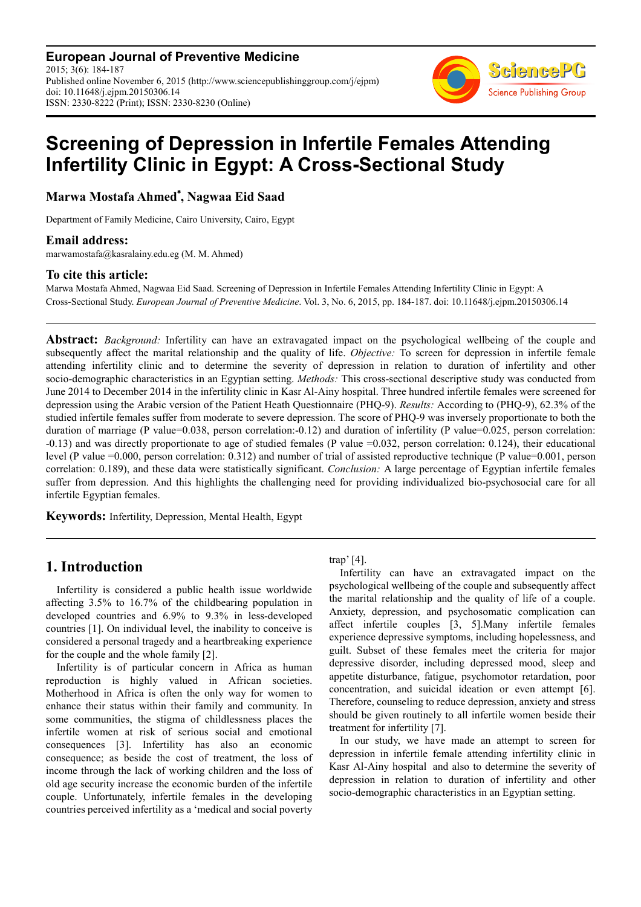**European Journal of Preventive Medicine** 2015; 3(6): 184-187 Published online November 6, 2015 (http://www.sciencepublishinggroup.com/j/ejpm) doi: 10.11648/j.ejpm.20150306.14 ISSN: 2330-8222 (Print); ISSN: 2330-8230 (Online)



# **Screening of Depression in Infertile Females Attending Infertility Clinic in Egypt: A Cross-Sectional Study**

**Marwa Mostafa Ahmed**\***, Nagwaa Eid Saad** 

Department of Family Medicine, Cairo University, Cairo, Egypt

### **Email address:**

marwamostafa@kasralainy.edu.eg (M. M. Ahmed)

### **To cite this article:**

Marwa Mostafa Ahmed, Nagwaa Eid Saad. Screening of Depression in Infertile Females Attending Infertility Clinic in Egypt: A Cross-Sectional Study. *European Journal of Preventive Medicine*. Vol. 3, No. 6, 2015, pp. 184-187. doi: 10.11648/j.ejpm.20150306.14

**Abstract:** *Background:* Infertility can have an extravagated impact on the psychological wellbeing of the couple and subsequently affect the marital relationship and the quality of life. *Objective:* To screen for depression in infertile female attending infertility clinic and to determine the severity of depression in relation to duration of infertility and other socio-demographic characteristics in an Egyptian setting. *Methods:* This cross-sectional descriptive study was conducted from June 2014 to December 2014 in the infertility clinic in Kasr Al-Ainy hospital. Three hundred infertile females were screened for depression using the Arabic version of the Patient Heath Questionnaire (PHQ-9). *Results:* According to (PHQ-9), 62.3% of the studied infertile females suffer from moderate to severe depression. The score of PHQ-9 was inversely proportionate to both the duration of marriage (P value=0.038, person correlation:-0.12) and duration of infertility (P value=0.025, person correlation: -0.13) and was directly proportionate to age of studied females (P value =0.032, person correlation: 0.124), their educational level (P value =0.000, person correlation: 0.312) and number of trial of assisted reproductive technique (P value=0.001, person correlation: 0.189), and these data were statistically significant. *Conclusion:* A large percentage of Egyptian infertile females suffer from depression. And this highlights the challenging need for providing individualized bio-psychosocial care for all infertile Egyptian females.

**Keywords:** Infertility, Depression, Mental Health, Egypt

# **1. Introduction**

Infertility is considered a public health issue worldwide affecting 3.5% to 16.7% of the childbearing population in developed countries and 6.9% to 9.3% in less-developed countries [1]. On individual level, the inability to conceive is considered a personal tragedy and a heartbreaking experience for the couple and the whole family [2].

Infertility is of particular concern in Africa as human reproduction is highly valued in African societies. Motherhood in Africa is often the only way for women to enhance their status within their family and community. In some communities, the stigma of childlessness places the infertile women at risk of serious social and emotional consequences [3]. Infertility has also an economic consequence; as beside the cost of treatment, the loss of income through the lack of working children and the loss of old age security increase the economic burden of the infertile couple. Unfortunately, infertile females in the developing countries perceived infertility as a 'medical and social poverty trap' [4].

Infertility can have an extravagated impact on the psychological wellbeing of the couple and subsequently affect the marital relationship and the quality of life of a couple. Anxiety, depression, and psychosomatic complication can affect infertile couples [3, 5].Many infertile females experience depressive symptoms, including hopelessness, and guilt. Subset of these females meet the criteria for major depressive disorder, including depressed mood, sleep and appetite disturbance, fatigue, psychomotor retardation, poor concentration, and suicidal ideation or even attempt [6]. Therefore, counseling to reduce depression, anxiety and stress should be given routinely to all infertile women beside their treatment for infertility [7].

In our study, we have made an attempt to screen for depression in infertile female attending infertility clinic in Kasr Al-Ainy hospital and also to determine the severity of depression in relation to duration of infertility and other socio-demographic characteristics in an Egyptian setting.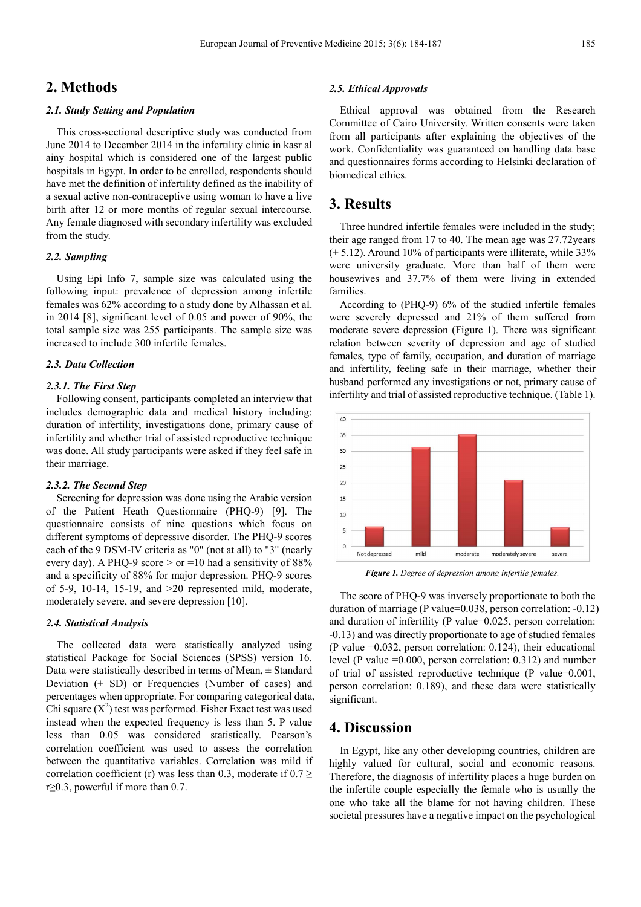# **2. Methods**

#### *2.1. Study Setting and Population*

This cross-sectional descriptive study was conducted from June 2014 to December 2014 in the infertility clinic in kasr al ainy hospital which is considered one of the largest public hospitals in Egypt. In order to be enrolled, respondents should have met the definition of infertility defined as the inability of a sexual active non-contraceptive using woman to have a live birth after 12 or more months of regular sexual intercourse. Any female diagnosed with secondary infertility was excluded from the study.

#### *2.2. Sampling*

Using Epi Info 7, sample size was calculated using the following input: prevalence of depression among infertile females was 62% according to a study done by Alhassan et al. in 2014 [8], significant level of 0.05 and power of 90%, the total sample size was 255 participants. The sample size was increased to include 300 infertile females.

#### *2.3. Data Collection*

#### *2.3.1. The First Step*

Following consent, participants completed an interview that includes demographic data and medical history including: duration of infertility, investigations done, primary cause of infertility and whether trial of assisted reproductive technique was done. All study participants were asked if they feel safe in their marriage.

#### *2.3.2. The Second Step*

Screening for depression was done using the Arabic version of the Patient Heath Questionnaire (PHQ-9) [9]. The questionnaire consists of nine questions which focus on different symptoms of depressive disorder. The PHQ-9 scores each of the 9 DSM-IV criteria as "0" (not at all) to "3" (nearly every day). A PHQ-9 score  $>$  or  $=$  10 had a sensitivity of 88% and a specificity of 88% for major depression. PHQ-9 scores of  $5-9$ ,  $10-14$ ,  $15-19$ , and  $>20$  represented mild, moderate, moderately severe, and severe depression [10].

#### *2.4. Statistical Analysis*

The collected data were statistically analyzed using statistical Package for Social Sciences (SPSS) version 16. Data were statistically described in terms of Mean, ± Standard Deviation  $(\pm SD)$  or Frequencies (Number of cases) and percentages when appropriate. For comparing categorical data, Chi square  $(X^2)$  test was performed. Fisher Exact test was used instead when the expected frequency is less than 5. P value less than 0.05 was considered statistically. Pearson's correlation coefficient was used to assess the correlation between the quantitative variables. Correlation was mild if correlation coefficient (r) was less than 0.3, moderate if  $0.7 \ge$ r≥0.3, powerful if more than 0.7.

#### *2.5. Ethical Approvals*

Ethical approval was obtained from the Research Committee of Cairo University. Written consents were taken from all participants after explaining the objectives of the work. Confidentiality was guaranteed on handling data base and questionnaires forms according to Helsinki declaration of biomedical ethics.

### **3. Results**

Three hundred infertile females were included in the study; their age ranged from 17 to 40. The mean age was 27.72years  $(\pm 5.12)$ . Around 10% of participants were illiterate, while 33% were university graduate. More than half of them were housewives and 37.7% of them were living in extended families.

According to (PHQ-9) 6% of the studied infertile females were severely depressed and 21% of them suffered from moderate severe depression (Figure 1). There was significant relation between severity of depression and age of studied females, type of family, occupation, and duration of marriage and infertility, feeling safe in their marriage, whether their husband performed any investigations or not, primary cause of infertility and trial of assisted reproductive technique. (Table 1).



*Figure 1. Degree of depression among infertile females.* 

The score of PHQ-9 was inversely proportionate to both the duration of marriage (P value=0.038, person correlation: -0.12) and duration of infertility (P value=0.025, person correlation: -0.13) and was directly proportionate to age of studied females (P value =0.032, person correlation: 0.124), their educational level (P value =0.000, person correlation: 0.312) and number of trial of assisted reproductive technique (P value=0.001, person correlation: 0.189), and these data were statistically significant.

### **4. Discussion**

In Egypt, like any other developing countries, children are highly valued for cultural, social and economic reasons. Therefore, the diagnosis of infertility places a huge burden on the infertile couple especially the female who is usually the one who take all the blame for not having children. These societal pressures have a negative impact on the psychological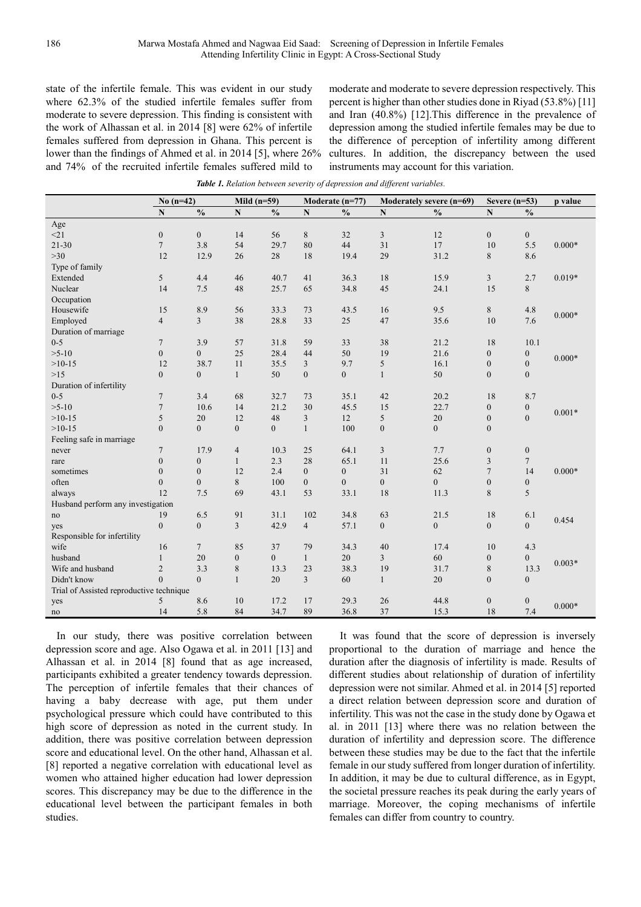state of the infertile female. This was evident in our study where 62.3% of the studied infertile females suffer from moderate to severe depression. This finding is consistent with the work of Alhassan et al. in 2014 [8] were 62% of infertile females suffered from depression in Ghana. This percent is lower than the findings of Ahmed et al. in 2014 [5], where 26% and 74% of the recruited infertile females suffered mild to

moderate and moderate to severe depression respectively. This percent is higher than other studies done in Riyad (53.8%) [11] and Iran (40.8%) [12].This difference in the prevalence of depression among the studied infertile females may be due to the difference of perception of infertility among different cultures. In addition, the discrepancy between the used instruments may account for this variation.

*Table 1. Relation between severity of depression and different variables.* 

|                                          | $No(n=42)$       |                  | Mild $(n=59)$      |                | Moderate (n=77) |                  | Moderately severe (n=69) |                  | Severe $(n=53)$  |                  | p value  |
|------------------------------------------|------------------|------------------|--------------------|----------------|-----------------|------------------|--------------------------|------------------|------------------|------------------|----------|
|                                          | N                | $\frac{0}{0}$    | $\overline{\bf N}$ | $\frac{0}{0}$  | $\mathbf N$     | $\frac{0}{0}$    | $\mathbf N$              | $\frac{0}{0}$    | ${\bf N}$        | $\frac{0}{0}$    |          |
| Age                                      |                  |                  |                    |                |                 |                  |                          |                  |                  |                  |          |
| <21                                      | $\boldsymbol{0}$ | $\boldsymbol{0}$ | 14                 | 56             | 8               | 32               | 3                        | 12               | $\boldsymbol{0}$ | $\boldsymbol{0}$ |          |
| $21 - 30$                                | $\overline{7}$   | 3.8              | 54                 | 29.7           | 80              | 44               | 31                       | 17               | 10               | 5.5              | $0.000*$ |
| $>30$                                    | 12               | 12.9             | 26                 | 28             | 18              | 19.4             | 29                       | 31.2             | 8                | 8.6              |          |
| Type of family                           |                  |                  |                    |                |                 |                  |                          |                  |                  |                  |          |
| Extended                                 | 5                | 4.4              | 46                 | 40.7           | 41              | 36.3             | 18                       | 15.9             | 3                | 2.7              | $0.019*$ |
| Nuclear                                  | 14               | 7.5              | 48                 | 25.7           | 65              | 34.8             | 45                       | 24.1             | 15               | 8                |          |
| Occupation                               |                  |                  |                    |                |                 |                  |                          |                  |                  |                  |          |
| Housewife                                | 15               | 8.9              | 56                 | 33.3           | 73              | 43.5             | 16                       | 9.5              | 8                | 4.8              |          |
| Employed                                 | $\overline{4}$   | $\overline{3}$   | 38                 | 28.8           | 33              | 25               | 47                       | 35.6             | 10               | 7.6              | $0.000*$ |
| Duration of marriage                     |                  |                  |                    |                |                 |                  |                          |                  |                  |                  |          |
| $0 - 5$                                  | $\overline{7}$   | 3.9              | 57                 | 31.8           | 59              | 33               | 38                       | 21.2             | 18               | 10.1             |          |
| $>5-10$                                  | $\mathbf{0}$     | $\mathbf{0}$     | 25                 | 28.4           | 44              | 50               | 19                       | 21.6             | $\boldsymbol{0}$ | $\boldsymbol{0}$ |          |
| $>10-15$                                 | 12               | 38.7             | 11                 | 35.5           | $\mathfrak{Z}$  | 9.7              | 5                        | 16.1             | $\boldsymbol{0}$ | $\overline{0}$   | $0.000*$ |
| $>15$                                    | $\overline{0}$   | $\overline{0}$   | $\mathbf{1}$       | 50             | $\mathbf{0}$    | $\boldsymbol{0}$ | $\mathbf{1}$             | 50               | $\boldsymbol{0}$ | $\boldsymbol{0}$ |          |
| Duration of infertility                  |                  |                  |                    |                |                 |                  |                          |                  |                  |                  |          |
| $0 - 5$                                  | $\overline{7}$   | 3.4              | 68                 | 32.7           | 73              | 35.1             | 42                       | 20.2             | 18               | 8.7              |          |
| $>5-10$                                  | $\overline{7}$   | 10.6             | 14                 | 21.2           | 30              | 45.5             | 15                       | 22.7             | $\boldsymbol{0}$ | $\boldsymbol{0}$ |          |
| $>10-15$                                 | 5                | 20               | 12                 | 48             | $\overline{3}$  | 12               | 5                        | 20               | $\boldsymbol{0}$ | $\overline{0}$   | $0.001*$ |
| $>10-15$                                 | $\mathbf{0}$     | $\overline{0}$   | $\boldsymbol{0}$   | $\mathbf{0}$   | $\mathbf{1}$    | 100              | $\boldsymbol{0}$         | $\overline{0}$   | $\boldsymbol{0}$ |                  |          |
| Feeling safe in marriage                 |                  |                  |                    |                |                 |                  |                          |                  |                  |                  |          |
| never                                    | $\overline{7}$   | 17.9             | 4                  | 10.3           | 25              | 64.1             | 3                        | 7.7              | $\boldsymbol{0}$ | $\boldsymbol{0}$ |          |
| rare                                     | $\theta$         | $\mathbf{0}$     | $\mathbf{1}$       | 2.3            | 28              | 65.1             | 11                       | 25.6             | 3                | $\overline{7}$   |          |
| sometimes                                | $\mathbf{0}$     | $\mathbf{0}$     | 12                 | 2.4            | $\mathbf{0}$    | $\boldsymbol{0}$ | 31                       | 62               | $\tau$           | 14               | $0.000*$ |
| often                                    | $\mathbf{0}$     | $\mathbf{0}$     | 8                  | 100            | $\mathbf{0}$    | $\boldsymbol{0}$ | $\boldsymbol{0}$         | $\overline{0}$   | $\boldsymbol{0}$ | $\boldsymbol{0}$ |          |
| always                                   | 12               | 7.5              | 69                 | 43.1           | 53              | 33.1             | 18                       | 11.3             | 8                | 5                |          |
| Husband perform any investigation        |                  |                  |                    |                |                 |                  |                          |                  |                  |                  |          |
| no                                       | 19               | 6.5              | 91                 | 31.1           | 102             | 34.8             | 63                       | 21.5             | 18               | 6.1              | 0.454    |
| yes                                      | $\mathbf{0}$     | $\overline{0}$   | $\overline{3}$     | 42.9           | $\overline{4}$  | 57.1             | $\mathbf{0}$             | $\boldsymbol{0}$ | $\boldsymbol{0}$ | $\overline{0}$   |          |
| Responsible for infertility              |                  |                  |                    |                |                 |                  |                          |                  |                  |                  |          |
| wife                                     | 16               | $\overline{7}$   | 85                 | 37             | 79              | 34.3             | 40                       | 17.4             | 10               | 4.3              |          |
| husband                                  | $\mathbf{1}$     | 20               | $\overline{0}$     | $\overline{0}$ | $\mathbf{1}$    | 20               | 3                        | 60               | $\boldsymbol{0}$ | $\overline{0}$   | $0.003*$ |
| Wife and husband                         | $\overline{2}$   | 3.3              | 8                  | 13.3           | 23              | 38.3             | 19                       | 31.7             | $\,$ 8 $\,$      | 13.3             |          |
| Didn't know                              | $\theta$         | $\overline{0}$   | $\mathbf{1}$       | 20             | $\overline{3}$  | 60               | $\mathbf{1}$             | 20               | $\mathbf{0}$     | $\overline{0}$   |          |
| Trial of Assisted reproductive technique |                  |                  |                    |                |                 |                  |                          |                  |                  |                  |          |
| yes                                      | 5                | 8.6              | 10                 | 17.2           | 17              | 29.3             | 26                       | 44.8             | $\boldsymbol{0}$ | $\boldsymbol{0}$ | $0.000*$ |
| no                                       | 14               | 5.8              | 84                 | 34.7           | 89              | 36.8             | 37                       | 15.3             | 18               | 7.4              |          |

In our study, there was positive correlation between depression score and age. Also Ogawa et al. in 2011 [13] and Alhassan et al. in 2014 [8] found that as age increased, participants exhibited a greater tendency towards depression. The perception of infertile females that their chances of having a baby decrease with age, put them under psychological pressure which could have contributed to this high score of depression as noted in the current study. In addition, there was positive correlation between depression score and educational level. On the other hand, Alhassan et al. [8] reported a negative correlation with educational level as women who attained higher education had lower depression scores. This discrepancy may be due to the difference in the educational level between the participant females in both studies.

It was found that the score of depression is inversely proportional to the duration of marriage and hence the duration after the diagnosis of infertility is made. Results of different studies about relationship of duration of infertility depression were not similar. Ahmed et al. in 2014 [5] reported a direct relation between depression score and duration of infertility. This was not the case in the study done by Ogawa et al. in 2011 [13] where there was no relation between the duration of infertility and depression score. The difference between these studies may be due to the fact that the infertile female in our study suffered from longer duration of infertility. In addition, it may be due to cultural difference, as in Egypt, the societal pressure reaches its peak during the early years of marriage. Moreover, the coping mechanisms of infertile females can differ from country to country.